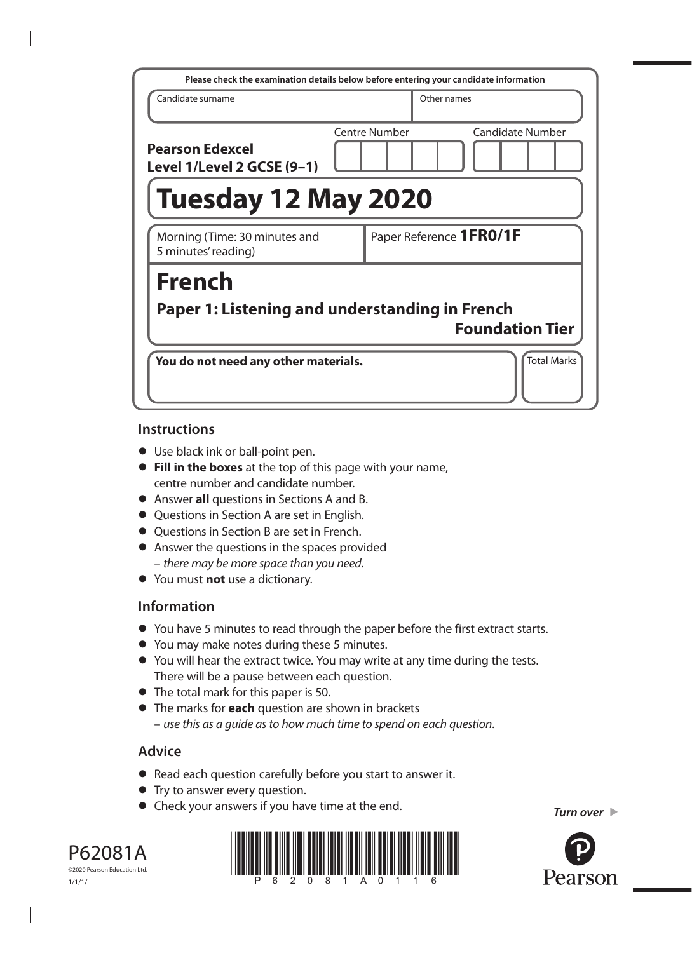| Please check the examination details below before entering your candidate information |               |                         |                         |
|---------------------------------------------------------------------------------------|---------------|-------------------------|-------------------------|
| Candidate surname                                                                     |               | Other names             |                         |
| <b>Pearson Edexcel</b><br>Level 1/Level 2 GCSE (9-1)                                  | Centre Number |                         | <b>Candidate Number</b> |
| <b>Tuesday 12 May 2020</b>                                                            |               |                         |                         |
| Morning (Time: 30 minutes and<br>5 minutes' reading)                                  |               | Paper Reference 1FR0/1F |                         |
| <b>French</b>                                                                         |               |                         |                         |
| Paper 1: Listening and understanding in French                                        |               |                         | <b>Foundation Tier</b>  |
| You do not need any other materials.                                                  |               |                         | <b>Total Marks</b>      |

### **Instructions**

- **•** Use black ink or ball-point pen.
- **• Fill in the boxes** at the top of this page with your name, centre number and candidate number.
- **•** Answer **all** questions in Sections A and B.
- **•** Questions in Section A are set in English.
- **•** Questions in Section B are set in French.
- **•** Answer the questions in the spaces provided – *there may be more space than you need*.
- **•** You must **not** use a dictionary.

# **Information**

- **•** You have 5 minutes to read through the paper before the first extract starts.
- **•** You may make notes during these 5 minutes.
- **•** You will hear the extract twice. You may write at any time during the tests. There will be a pause between each question.
- **•** The total mark for this paper is 50.
- **•** The marks for **each** question are shown in brackets – *use this as a guide as to how much time to spend on each question*.

# **Advice**

- **•** Read each question carefully before you start to answer it.
- **•** Try to answer every question.
- **•** Check your answers if you have time at the end.

*Turn over* 



©2020 Pearson Education Ltd. 1/1/1/

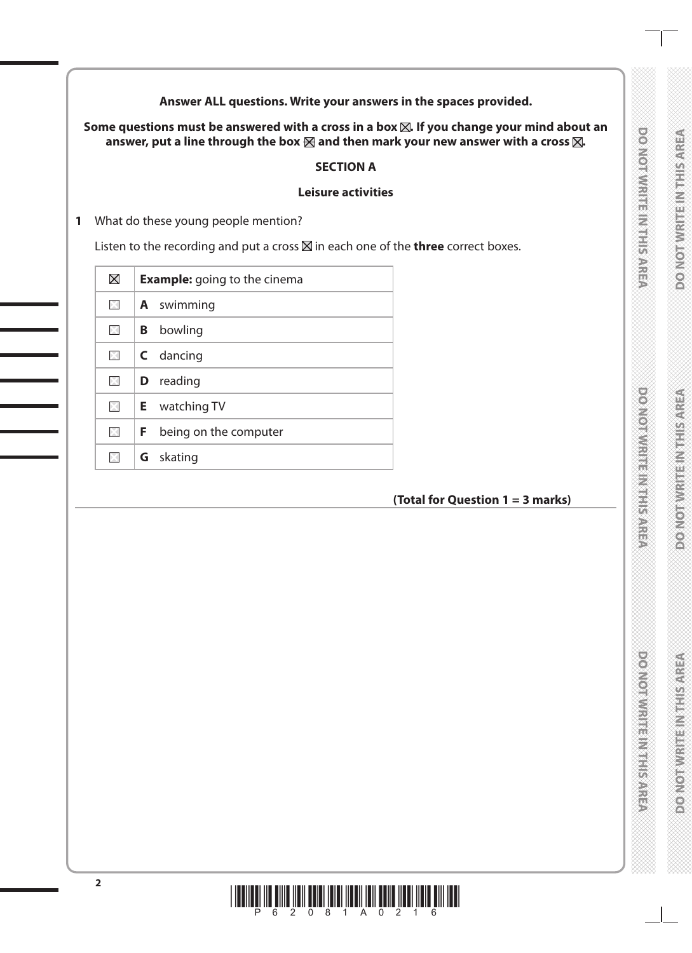**Answer ALL questions. Write your answers in the spaces provided.**

Some questions must be answered with a cross in a box  $\boxtimes$ . If you change your mind about an answer, put a line through the box  $\boxtimes$  and then mark your new answer with a cross  $\boxtimes$ .

### **SECTION A**

### **Leisure activities**

**1** What do these young people mention?

Listen to the recording and put a cross  $\boxtimes$  in each one of the **three** correct boxes.

| $\boxtimes$  | <b>Example:</b> going to the cinema |
|--------------|-------------------------------------|
| $\times$     | <b>A</b> swimming                   |
| $\times$     | bowling<br>B                        |
| $\times$     | <b>C</b> dancing                    |
| $\mathbb{R}$ | <b>D</b> reading                    |
| $\mathbb{R}$ | <b>E</b> watching TV                |
| $\times$     | being on the computer<br>F.         |
| ×            | skating<br>G                        |

# **(Total for Question 1 = 3 marks)**

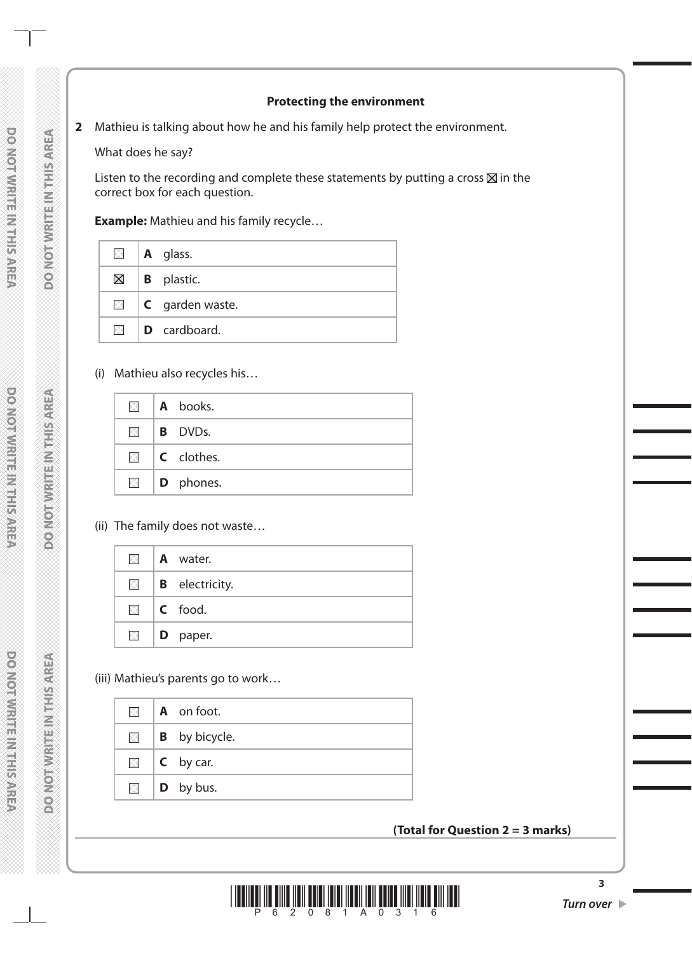### **Protecting the environment**

### **2** Mathieu is talking about how he and his family help protect the environment.

What does he say?

Listen to the recording and complete these statements by putting a cross  $\boxtimes$  in the correct box for each question.

**Example:** Mathieu and his family recycle…

|               | $\Box$   A glass.               |
|---------------|---------------------------------|
|               | $\boxtimes$   <b>B</b> plastic. |
|               | $\Box$ <b>C</b> garden waste.   |
| $\boxtimes$ 1 | <b>D</b> cardboard.             |

(i) Mathieu also recycles his…

|          | $\Box$   A books.          |
|----------|----------------------------|
|          | $\boxtimes$ <b>B</b> DVDs. |
|          | $\Box$ <b>C</b> clothes.   |
| $\times$ | $\vert$ <b>D</b> phones.   |

(ii) The family does not waste…

|            | <b>A</b> water.       |
|------------|-----------------------|
| $\times$ 1 | <b>B</b> electricity. |
|            | $\Box$ C food.        |
| $\times$ 1 | <b>D</b> paper.       |

(iii) Mathieu's parents go to work…

|                         | $\blacksquare$   A on foot. |
|-------------------------|-----------------------------|
| $\times$ $\blacksquare$ | <b>B</b> by bicycle.        |
|                         | $\Box$ <b>C</b> by car.     |
|                         | $\Box$   <b>D</b> by bus.   |

### **(Total for Question 2 = 3 marks)**

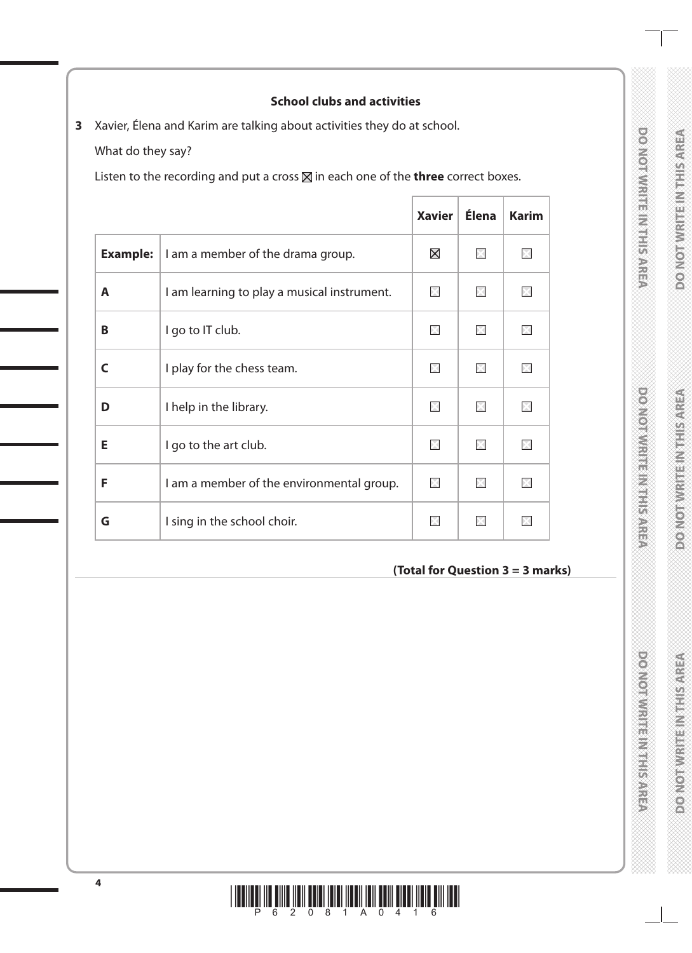# DO NOTWRITE IN THIS AREA

## **School clubs and activities**

**3** Xavier, Élena and Karim are talking about activities they do at school.

What do they say?

Listen to the recording and put a cross  $\boxtimes$  in each one of the **three** correct boxes.

|                 |                                             | <b>Xavier</b> | <b>Élena</b> | <b>Karim</b> |
|-----------------|---------------------------------------------|---------------|--------------|--------------|
| <b>Example:</b> | I am a member of the drama group.           | $\boxtimes$   | $>\sqrt{}$   |              |
| A               | I am learning to play a musical instrument. | ÞЗ            | $>\sqrt{2}$  |              |
| B               | I go to IT club.                            | $\times$      | X            |              |
| C               | I play for the chess team.                  | DК            | ÞК           |              |
| D               | I help in the library.                      | ×             | ×            |              |
| Е               | I go to the art club.                       | $\mathbb{R}$  | X            |              |
| F               | I am a member of the environmental group.   | ×             | ÞЯ           |              |
| G               | I sing in the school choir.                 | $\times$      | X            |              |

### **(Total for Question 3 = 3 marks)**

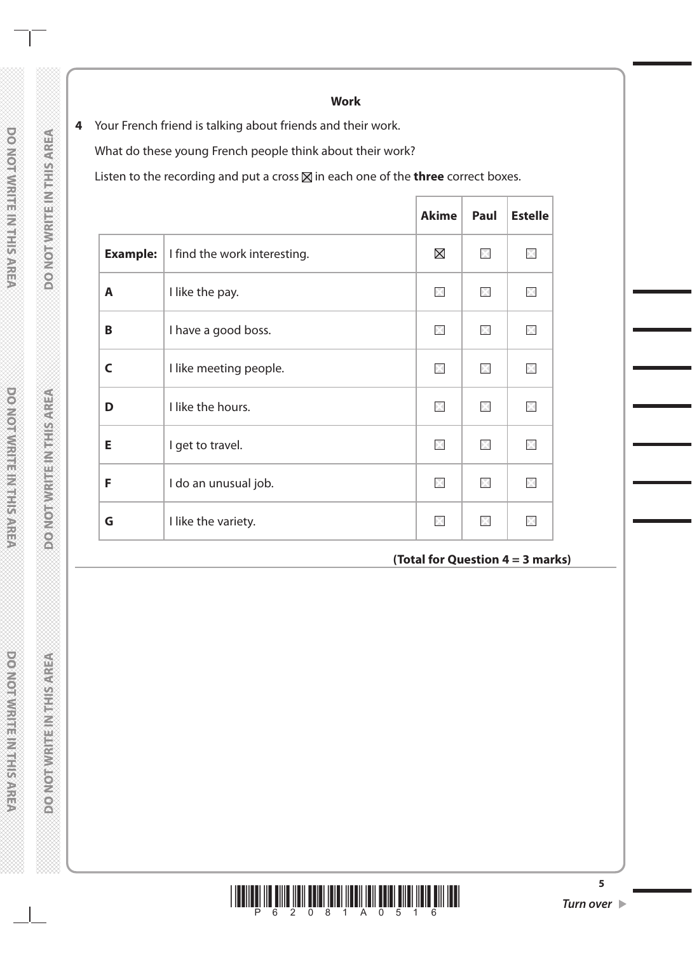**Work**

**4** Your French friend is talking about friends and their work. What do these young French people think about their work? Listen to the recording and put a cross  $\boxtimes$  in each one of the **three** correct boxes.

|                 |                              | <b>Akime</b> | Paul        | <b>Estelle</b>     |
|-----------------|------------------------------|--------------|-------------|--------------------|
| <b>Example:</b> | I find the work interesting. | $\boxtimes$  | $\times$    | ×                  |
| A               | I like the pay.              | ×            | M           | $\times$           |
| B               | I have a good boss.          | ×            | $\times$    | ×                  |
| C               | I like meeting people.       | $\boxtimes$  | $\times$    | $\boxtimes$        |
| D               | I like the hours.            | $\times$     | X           | ⊠                  |
| Е               | I get to travel.             | $\boxtimes$  | $\boxtimes$ | $>\leftthreetimes$ |
| F               | I do an unusual job.         | X            | $\boxtimes$ | X                  |
| G               | I like the variety.          | $\times$     | ×           |                    |

**(Total for Question 4 = 3 marks)**



**5**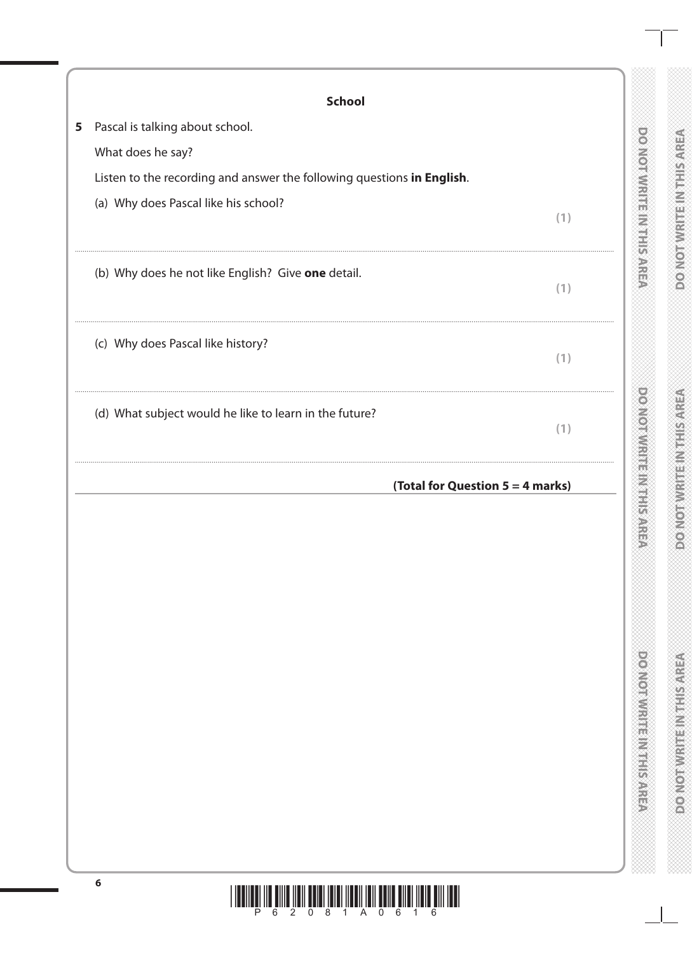| <b>School</b>                                                          |                                  |
|------------------------------------------------------------------------|----------------------------------|
| Pascal is talking about school.<br>5                                   |                                  |
| What does he say?                                                      |                                  |
| Listen to the recording and answer the following questions in English. |                                  |
| (a) Why does Pascal like his school?                                   | (1)                              |
| (b) Why does he not like English? Give one detail.                     | (1)                              |
| (c) Why does Pascal like history?                                      | (1)                              |
| (d) What subject would he like to learn in the future?                 | (1)                              |
|                                                                        | (Total for Question 5 = 4 marks) |
|                                                                        |                                  |
|                                                                        |                                  |
|                                                                        |                                  |
|                                                                        |                                  |
|                                                                        |                                  |
|                                                                        |                                  |
|                                                                        |                                  |
|                                                                        |                                  |
|                                                                        |                                  |
|                                                                        |                                  |
|                                                                        |                                  |
|                                                                        |                                  |
|                                                                        |                                  |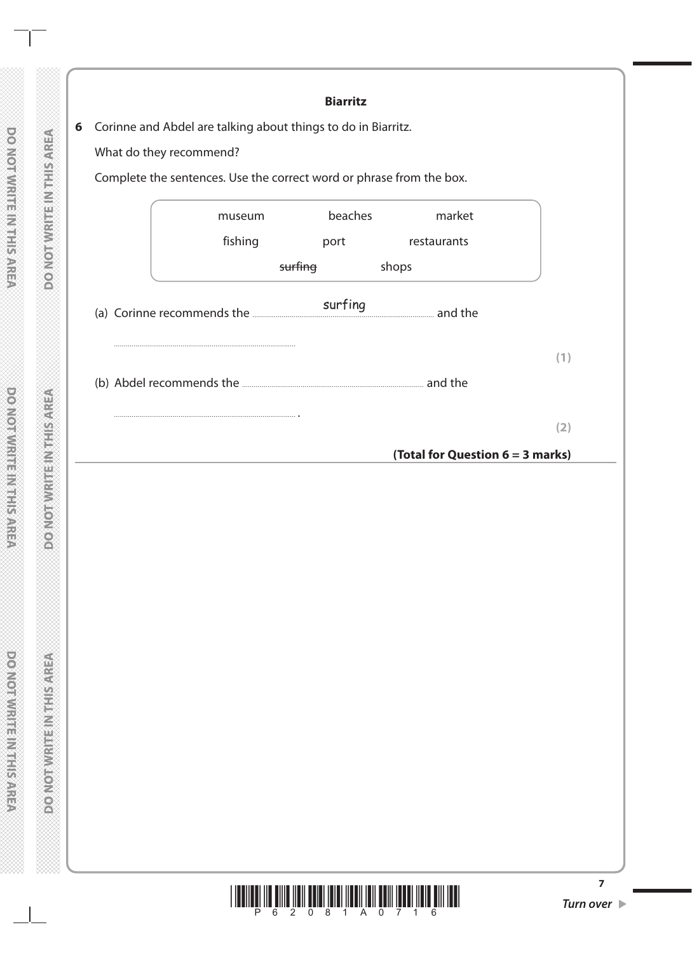|   |                                                                      |         | <b>Biarritz</b> |                                  |                |
|---|----------------------------------------------------------------------|---------|-----------------|----------------------------------|----------------|
| 6 | Corinne and Abdel are talking about things to do in Biarritz.        |         |                 |                                  |                |
|   | What do they recommend?                                              |         |                 |                                  |                |
|   | Complete the sentences. Use the correct word or phrase from the box. |         |                 |                                  |                |
|   |                                                                      |         | beaches         | market                           |                |
|   |                                                                      | museum  |                 |                                  |                |
|   |                                                                      | fishing | port            | restaurants                      |                |
|   |                                                                      |         | surfing         | shops                            |                |
|   |                                                                      |         |                 |                                  |                |
|   |                                                                      |         |                 |                                  |                |
|   |                                                                      |         |                 |                                  | (1)            |
|   |                                                                      |         |                 |                                  |                |
|   |                                                                      |         |                 |                                  |                |
|   |                                                                      |         |                 |                                  | (2)            |
|   |                                                                      |         |                 | (Total for Question 6 = 3 marks) |                |
|   |                                                                      |         |                 |                                  |                |
|   |                                                                      |         |                 |                                  |                |
|   |                                                                      |         |                 |                                  |                |
|   |                                                                      |         |                 |                                  |                |
|   |                                                                      |         |                 |                                  |                |
|   |                                                                      |         |                 |                                  |                |
|   |                                                                      |         |                 |                                  |                |
|   |                                                                      |         |                 |                                  |                |
|   |                                                                      |         |                 |                                  |                |
|   |                                                                      |         |                 |                                  |                |
|   |                                                                      |         |                 |                                  |                |
|   |                                                                      |         |                 |                                  |                |
|   |                                                                      |         |                 |                                  |                |
|   |                                                                      |         |                 |                                  |                |
|   |                                                                      |         |                 |                                  |                |
|   |                                                                      |         |                 |                                  |                |
|   |                                                                      |         |                 |                                  |                |
|   |                                                                      |         |                 |                                  |                |
|   |                                                                      |         |                 |                                  | $\overline{z}$ |

**DO NOTWEEPINGTHIS AREA** 

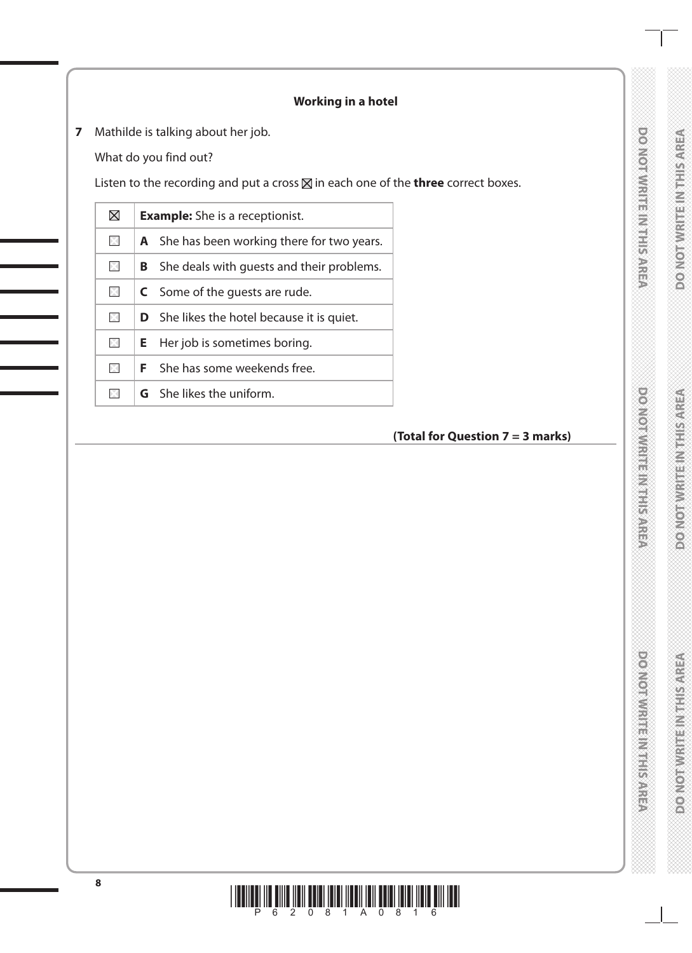# **DONORWRITEIN TERRITAREA**

# **Working in a hotel**

**7** Mathilde is talking about her job.

What do you find out?

Listen to the recording and put a cross  $\boxtimes$  in each one of the **three** correct boxes.

| $\boxtimes$ |    | <b>Example:</b> She is a receptionist.             |
|-------------|----|----------------------------------------------------|
| $\times$    |    | <b>A</b> She has been working there for two years. |
| $\times$    |    | <b>B</b> She deals with guests and their problems. |
| $\times$    |    | <b>C</b> Some of the quests are rude.              |
| $\times$    |    | <b>D</b> She likes the hotel because it is quiet.  |
| $\times$    | Е. | Her job is sometimes boring.                       |
| $\times$    |    | <b>F</b> She has some weekends free.               |
| $\times$    |    | <b>G</b> She likes the uniform.                    |
|             |    |                                                    |

# **(Total for Question 7 = 3 marks)**

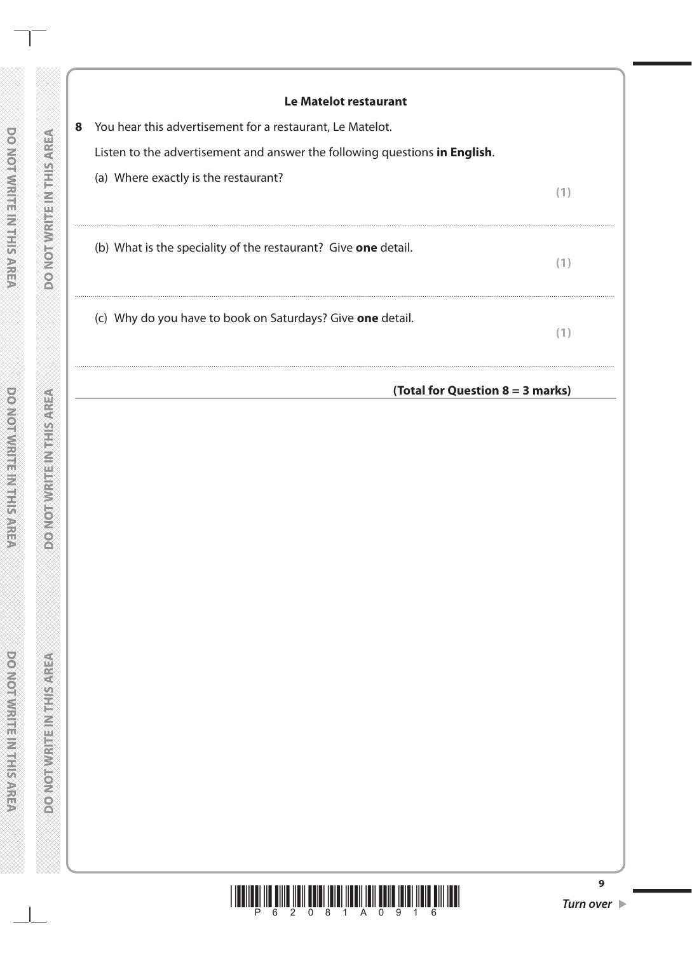| Le Matelot restaurant                                                      |     |
|----------------------------------------------------------------------------|-----|
| You hear this advertisement for a restaurant, Le Matelot.                  |     |
| Listen to the advertisement and answer the following questions in English. |     |
| (a) Where exactly is the restaurant?                                       | (1) |
| (b) What is the speciality of the restaurant? Give one detail.             | (1) |
| (c) Why do you have to book on Saturdays? Give <b>one</b> detail.          | (1) |
| (Total for Question $8 = 3$ marks)                                         |     |

 $\overline{9}$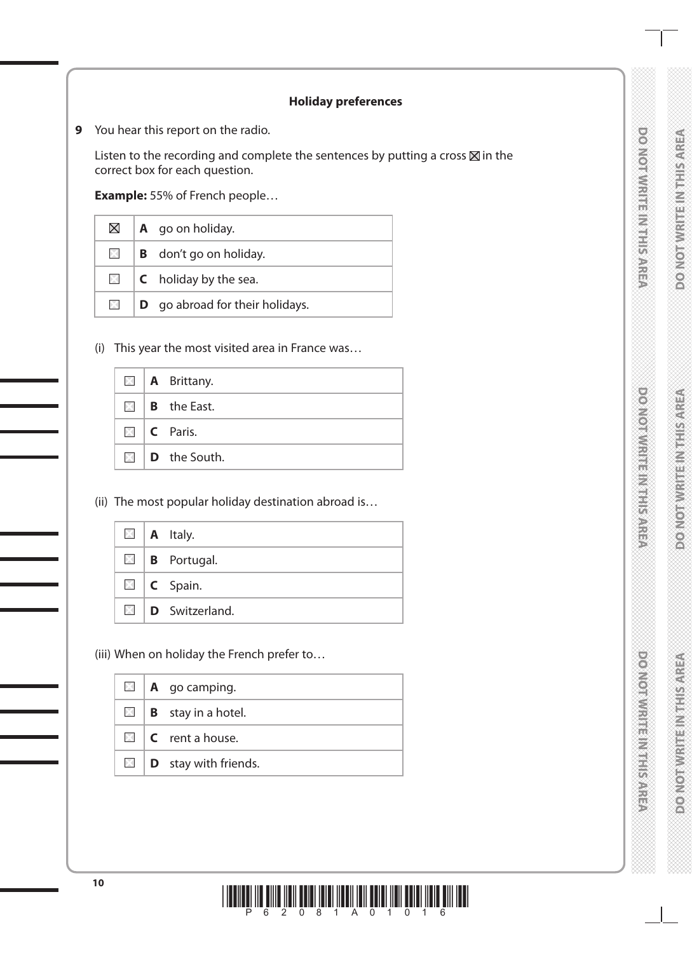# DO NOTWRITE IN THIS AREA

### **Holiday preferences**

**9** You hear this report on the radio.

Listen to the recording and complete the sentences by putting a cross  $\boxtimes$  in the correct box for each question.

**Example:** 55% of French people…

| $\boxtimes$ | $\mathbf A$ go on holiday.             |  |  |  |
|-------------|----------------------------------------|--|--|--|
| $\times$    | <b>B</b> don't go on holiday.          |  |  |  |
| $\times$    | <b>C</b> holiday by the sea.           |  |  |  |
| XI.         | <b>D</b> go abroad for their holidays. |  |  |  |

(i) This year the most visited area in France was…

|  | $\blacksquare$   A Brittany.     |
|--|----------------------------------|
|  | $\boxtimes$   <b>B</b> the East. |
|  | $\Box$ C Paris.                  |
|  | $\Box$ <b>D</b> the South.       |

(ii) The most popular holiday destination abroad is…

|  | $\Box$   A Italy.                |
|--|----------------------------------|
|  | $\boxtimes$   <b>B</b> Portugal. |
|  | $\Box$   <b>C</b> Spain.         |
|  | $\boxtimes$ D Switzerland.       |

(iii) When on holiday the French prefer to…

|  | $\boxtimes$   <b>A</b> go camping.      |  |  |  |
|--|-----------------------------------------|--|--|--|
|  | $\boxtimes$   <b>B</b> stay in a hotel. |  |  |  |
|  | $\Box$ <b>C</b> rent a house.           |  |  |  |
|  | $\Box$ <b>D</b> stay with friends.      |  |  |  |

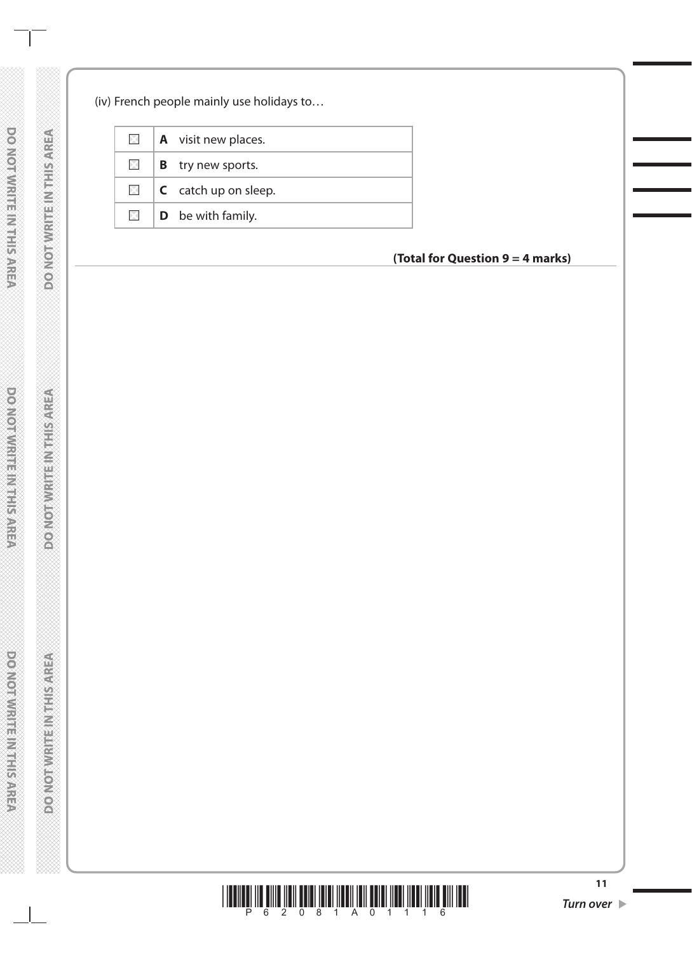### (iv) French people mainly use holidays to…

| $\times$     | <b>A</b> visit new places.      |
|--------------|---------------------------------|
| $\mathbb{X}$ | <b>B</b> try new sports.        |
| $\times$     | $\mathsf{C}$ catch up on sleep. |
| $\times$ 1   | <b>D</b> be with family.        |

# **(Total for Question 9 = 4 marks)**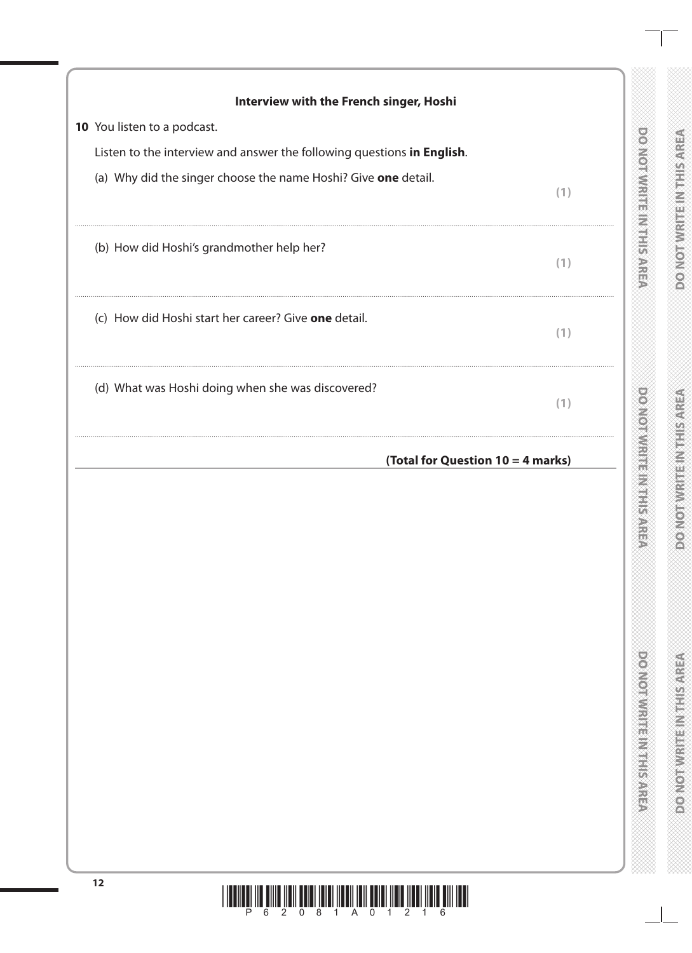| (a) Why did the singer choose the name Hoshi? Give one detail.<br>(1)<br>(b) How did Hoshi's grandmother help her?<br>(1)<br>(c) How did Hoshi start her career? Give one detail.<br>(1)<br>(d) What was Hoshi doing when she was discovered?<br>(1)<br>(Total for Question 10 = 4 marks) | 10 You listen to a podcast.<br>Listen to the interview and answer the following questions in English. |  |
|-------------------------------------------------------------------------------------------------------------------------------------------------------------------------------------------------------------------------------------------------------------------------------------------|-------------------------------------------------------------------------------------------------------|--|
|                                                                                                                                                                                                                                                                                           |                                                                                                       |  |
|                                                                                                                                                                                                                                                                                           |                                                                                                       |  |
|                                                                                                                                                                                                                                                                                           |                                                                                                       |  |
|                                                                                                                                                                                                                                                                                           |                                                                                                       |  |
|                                                                                                                                                                                                                                                                                           |                                                                                                       |  |
|                                                                                                                                                                                                                                                                                           |                                                                                                       |  |
|                                                                                                                                                                                                                                                                                           |                                                                                                       |  |
|                                                                                                                                                                                                                                                                                           |                                                                                                       |  |

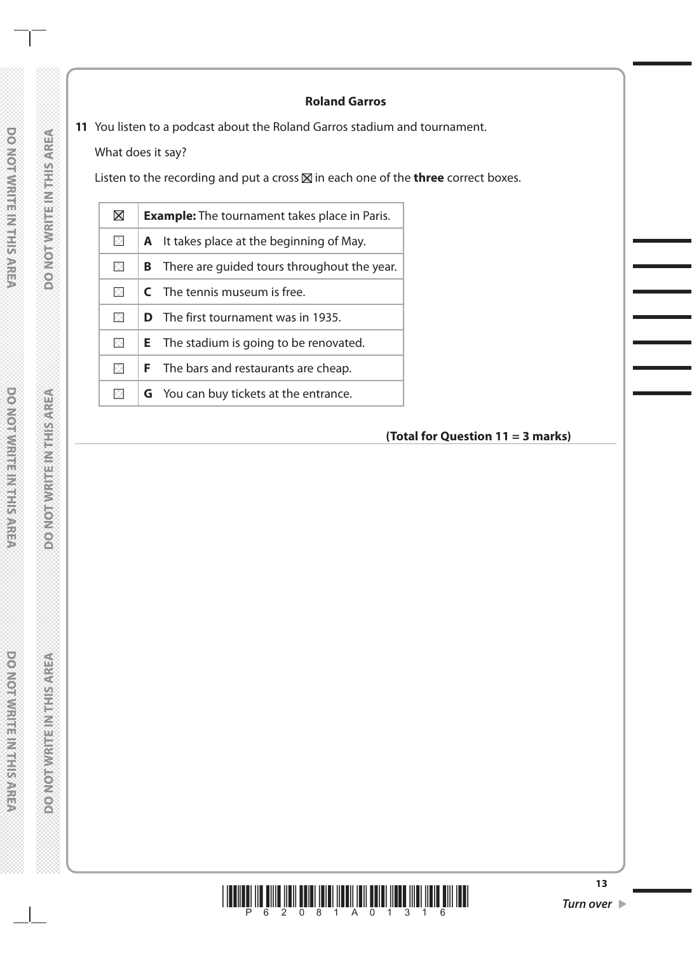### **Roland Garros**

**11** You listen to a podcast about the Roland Garros stadium and tournament.

What does it say?

Listen to the recording and put a cross  $\boxtimes$  in each one of the **three** correct boxes.

| $\boxtimes$ | <b>Example:</b> The tournament takes place in Paris. |                                                |  |  |  |
|-------------|------------------------------------------------------|------------------------------------------------|--|--|--|
| ×           |                                                      | A It takes place at the beginning of May.      |  |  |  |
| $\times$    | B                                                    | There are quided tours throughout the year.    |  |  |  |
| $\bowtie$   |                                                      | <b>C</b> The tennis museum is free.            |  |  |  |
| X           |                                                      | <b>D</b> The first tournament was in 1935.     |  |  |  |
| $\times$    |                                                      | <b>E</b> The stadium is going to be renovated. |  |  |  |
| ×           |                                                      | <b>F</b> The bars and restaurants are cheap.   |  |  |  |
| ×           |                                                      | <b>G</b> You can buy tickets at the entrance.  |  |  |  |
|             |                                                      |                                                |  |  |  |

# **(Total for Question 11 = 3 marks)**

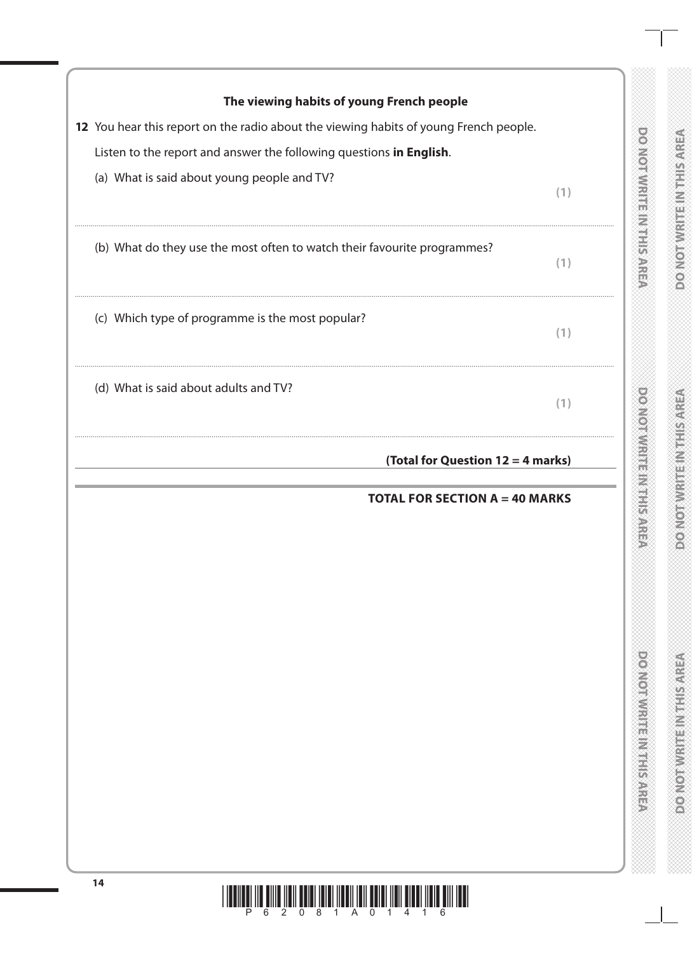| 12 You hear this report on the radio about the viewing habits of young French people. |     |
|---------------------------------------------------------------------------------------|-----|
| Listen to the report and answer the following questions in English.                   |     |
| (a) What is said about young people and TV?                                           | (1) |
| (b) What do they use the most often to watch their favourite programmes?              | (1) |
| (c) Which type of programme is the most popular?                                      | (1) |
| (d) What is said about adults and TV?                                                 | (1) |
| (Total for Question 12 = 4 marks)                                                     |     |
| <b>TOTAL FOR SECTION A = 40 MARKS</b>                                                 |     |
|                                                                                       |     |
|                                                                                       |     |
|                                                                                       |     |
|                                                                                       |     |
|                                                                                       |     |
|                                                                                       |     |

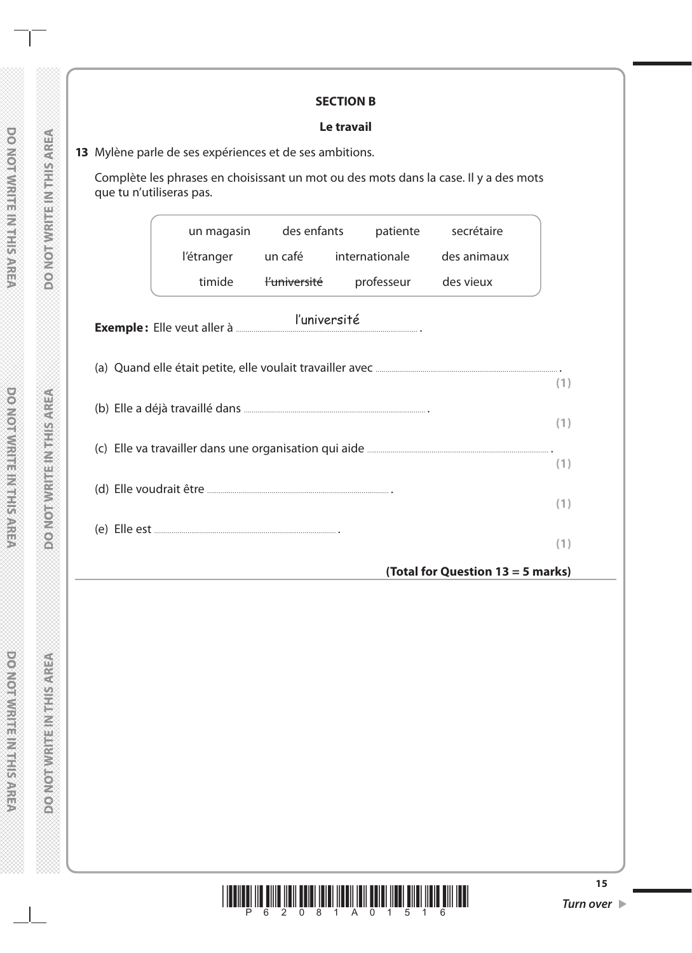#### **SECTION B**

#### **Le travail**

Complète les phrases en choisissant un mot ou des mots dans la case. Il y a des mots que tu n'utiliseras pas.

|     |            | un magasin des enfants  | patiente               | secrétaire                        |  |  |  |
|-----|------------|-------------------------|------------------------|-----------------------------------|--|--|--|
|     | l'étranger |                         | un café internationale | des animaux                       |  |  |  |
|     | timide     | <del>l'université</del> | professeur             | des vieux                         |  |  |  |
|     |            | l'université            |                        |                                   |  |  |  |
|     |            |                         |                        |                                   |  |  |  |
| (1) |            |                         |                        |                                   |  |  |  |
|     |            |                         |                        |                                   |  |  |  |
|     |            |                         |                        |                                   |  |  |  |
|     |            |                         |                        |                                   |  |  |  |
|     |            |                         |                        |                                   |  |  |  |
|     |            |                         |                        | (Total for Question 13 = 5 marks) |  |  |  |